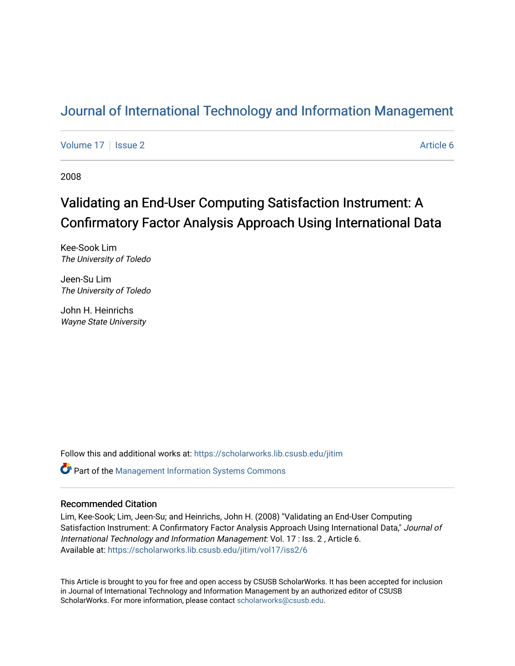### [Journal of International Technology and Information Management](https://scholarworks.lib.csusb.edu/jitim)

[Volume 17](https://scholarworks.lib.csusb.edu/jitim/vol17) | [Issue 2](https://scholarworks.lib.csusb.edu/jitim/vol17/iss2) Article 6

2008

## Validating an End-User Computing Satisfaction Instrument: A Confirmatory Factor Analysis Approach Using International Data

Kee-Sook Lim The University of Toledo

Jeen-Su Lim The University of Toledo

John H. Heinrichs Wayne State University

Follow this and additional works at: [https://scholarworks.lib.csusb.edu/jitim](https://scholarworks.lib.csusb.edu/jitim?utm_source=scholarworks.lib.csusb.edu%2Fjitim%2Fvol17%2Fiss2%2F6&utm_medium=PDF&utm_campaign=PDFCoverPages) 

**C** Part of the Management Information Systems Commons

#### Recommended Citation

Lim, Kee-Sook; Lim, Jeen-Su; and Heinrichs, John H. (2008) "Validating an End-User Computing Satisfaction Instrument: A Confirmatory Factor Analysis Approach Using International Data," Journal of International Technology and Information Management: Vol. 17 : Iss. 2 , Article 6. Available at: [https://scholarworks.lib.csusb.edu/jitim/vol17/iss2/6](https://scholarworks.lib.csusb.edu/jitim/vol17/iss2/6?utm_source=scholarworks.lib.csusb.edu%2Fjitim%2Fvol17%2Fiss2%2F6&utm_medium=PDF&utm_campaign=PDFCoverPages) 

This Article is brought to you for free and open access by CSUSB ScholarWorks. It has been accepted for inclusion in Journal of International Technology and Information Management by an authorized editor of CSUSB ScholarWorks. For more information, please contact [scholarworks@csusb.edu.](mailto:scholarworks@csusb.edu)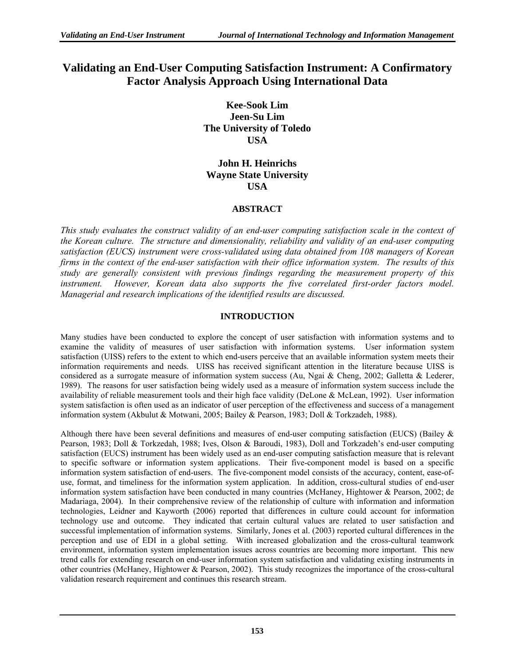### **Validating an End-User Computing Satisfaction Instrument: A Confirmatory Factor Analysis Approach Using International Data**

**Kee-Sook Lim Jeen-Su Lim The University of Toledo USA** 

#### **John H. Heinrichs Wayne State University USA**

#### **ABSTRACT**

*This study evaluates the construct validity of an end-user computing satisfaction scale in the context of the Korean culture. The structure and dimensionality, reliability and validity of an end-user computing satisfaction (EUCS) instrument were cross-validated using data obtained from 108 managers of Korean firms in the context of the end-user satisfaction with their office information system. The results of this study are generally consistent with previous findings regarding the measurement property of this instrument. However, Korean data also supports the five correlated first-order factors model. Managerial and research implications of the identified results are discussed.* 

#### **INTRODUCTION**

Many studies have been conducted to explore the concept of user satisfaction with information systems and to examine the validity of measures of user satisfaction with information systems. User information system satisfaction (UISS) refers to the extent to which end-users perceive that an available information system meets their information requirements and needs. UISS has received significant attention in the literature because UISS is considered as a surrogate measure of information system success (Au, Ngai & Cheng, 2002; Galletta & Lederer, 1989). The reasons for user satisfaction being widely used as a measure of information system success include the availability of reliable measurement tools and their high face validity (DeLone & McLean, 1992). User information system satisfaction is often used as an indicator of user perception of the effectiveness and success of a management information system (Akbulut & Motwani, 2005; Bailey & Pearson, 1983; Doll & Torkzadeh, 1988).

Although there have been several definitions and measures of end-user computing satisfaction (EUCS) (Bailey & Pearson, 1983; Doll & Torkzedah, 1988; Ives, Olson & Baroudi, 1983), Doll and Torkzadeh's end-user computing satisfaction (EUCS) instrument has been widely used as an end-user computing satisfaction measure that is relevant to specific software or information system applications. Their five-component model is based on a specific information system satisfaction of end-users. The five-component model consists of the accuracy, content, ease-ofuse, format, and timeliness for the information system application. In addition, cross-cultural studies of end-user information system satisfaction have been conducted in many countries (McHaney, Hightower & Pearson, 2002; de Madariaga, 2004). In their comprehensive review of the relationship of culture with information and information technologies, Leidner and Kayworth (2006) reported that differences in culture could account for information technology use and outcome. They indicated that certain cultural values are related to user satisfaction and successful implementation of information systems. Similarly, Jones et al. (2003) reported cultural differences in the perception and use of EDI in a global setting. With increased globalization and the cross-cultural teamwork environment, information system implementation issues across countries are becoming more important. This new trend calls for extending research on end-user information system satisfaction and validating existing instruments in other countries (McHaney, Hightower & Pearson, 2002). This study recognizes the importance of the cross-cultural validation research requirement and continues this research stream.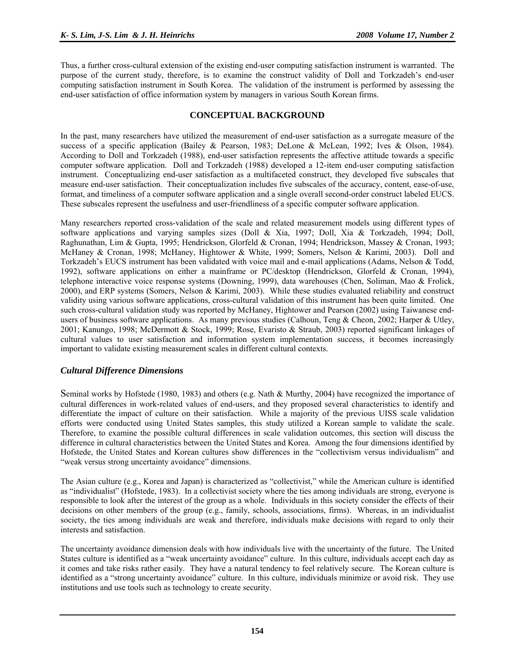Thus, a further cross-cultural extension of the existing end-user computing satisfaction instrument is warranted. The purpose of the current study, therefore, is to examine the construct validity of Doll and Torkzadeh's end-user computing satisfaction instrument in South Korea. The validation of the instrument is performed by assessing the end-user satisfaction of office information system by managers in various South Korean firms.

#### **CONCEPTUAL BACKGROUND**

In the past, many researchers have utilized the measurement of end-user satisfaction as a surrogate measure of the success of a specific application (Bailey & Pearson, 1983; DeLone & McLean, 1992; Ives & Olson, 1984). According to Doll and Torkzadeh (1988), end-user satisfaction represents the affective attitude towards a specific computer software application. Doll and Torkzadeh (1988) developed a 12-item end-user computing satisfaction instrument. Conceptualizing end-user satisfaction as a multifaceted construct, they developed five subscales that measure end-user satisfaction. Their conceptualization includes five subscales of the accuracy, content, ease-of-use, format, and timeliness of a computer software application and a single overall second-order construct labeled EUCS. These subscales represent the usefulness and user-friendliness of a specific computer software application.

Many researchers reported cross-validation of the scale and related measurement models using different types of software applications and varying samples sizes (Doll & Xia, 1997; Doll, Xia & Torkzadeh, 1994; Doll, Raghunathan, Lim & Gupta, 1995; Hendrickson, Glorfeld & Cronan, 1994; Hendrickson, Massey & Cronan, 1993; McHaney & Cronan, 1998; McHaney, Hightower & White, 1999; Somers, Nelson & Karimi, 2003). Doll and Torkzadeh's EUCS instrument has been validated with voice mail and e-mail applications (Adams, Nelson & Todd, 1992), software applications on either a mainframe or PC/desktop (Hendrickson, Glorfeld & Cronan, 1994), telephone interactive voice response systems (Downing, 1999), data warehouses (Chen, Soliman, Mao & Frolick, 2000), and ERP systems (Somers, Nelson & Karimi, 2003). While these studies evaluated reliability and construct validity using various software applications, cross-cultural validation of this instrument has been quite limited. One such cross-cultural validation study was reported by McHaney, Hightower and Pearson (2002) using Taiwanese endusers of business software applications. As many previous studies (Calhoun, Teng & Cheon, 2002; Harper & Utley, 2001; Kanungo, 1998; McDermott & Stock, 1999; Rose, Evaristo & Straub, 2003) reported significant linkages of cultural values to user satisfaction and information system implementation success, it becomes increasingly important to validate existing measurement scales in different cultural contexts.

#### *Cultural Difference Dimensions*

Seminal works by Hofstede (1980, 1983) and others (e.g. Nath & Murthy, 2004) have recognized the importance of cultural differences in work-related values of end-users, and they proposed several characteristics to identify and differentiate the impact of culture on their satisfaction. While a majority of the previous UISS scale validation efforts were conducted using United States samples, this study utilized a Korean sample to validate the scale. Therefore, to examine the possible cultural differences in scale validation outcomes, this section will discuss the difference in cultural characteristics between the United States and Korea. Among the four dimensions identified by Hofstede, the United States and Korean cultures show differences in the "collectivism versus individualism" and "weak versus strong uncertainty avoidance" dimensions.

The Asian culture (e.g., Korea and Japan) is characterized as "collectivist," while the American culture is identified as "individualist" (Hofstede, 1983). In a collectivist society where the ties among individuals are strong, everyone is responsible to look after the interest of the group as a whole. Individuals in this society consider the effects of their decisions on other members of the group (e.g., family, schools, associations, firms). Whereas, in an individualist society, the ties among individuals are weak and therefore, individuals make decisions with regard to only their interests and satisfaction.

The uncertainty avoidance dimension deals with how individuals live with the uncertainty of the future. The United States culture is identified as a "weak uncertainty avoidance" culture. In this culture, individuals accept each day as it comes and take risks rather easily. They have a natural tendency to feel relatively secure. The Korean culture is identified as a "strong uncertainty avoidance" culture. In this culture, individuals minimize or avoid risk. They use institutions and use tools such as technology to create security.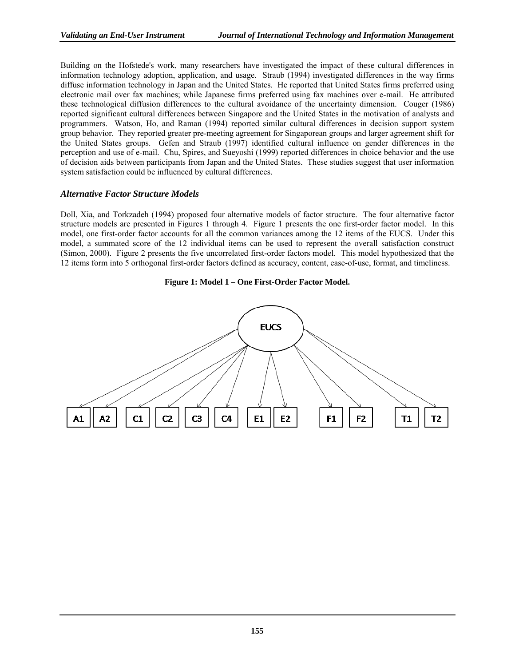Building on the Hofstede's work, many researchers have investigated the impact of these cultural differences in information technology adoption, application, and usage. Straub (1994) investigated differences in the way firms diffuse information technology in Japan and the United States. He reported that United States firms preferred using electronic mail over fax machines; while Japanese firms preferred using fax machines over e-mail. He attributed these technological diffusion differences to the cultural avoidance of the uncertainty dimension. Couger (1986) reported significant cultural differences between Singapore and the United States in the motivation of analysts and programmers. Watson, Ho, and Raman (1994) reported similar cultural differences in decision support system group behavior. They reported greater pre-meeting agreement for Singaporean groups and larger agreement shift for the United States groups. Gefen and Straub (1997) identified cultural influence on gender differences in the perception and use of e-mail. Chu, Spires, and Sueyoshi (1999) reported differences in choice behavior and the use of decision aids between participants from Japan and the United States. These studies suggest that user information system satisfaction could be influenced by cultural differences.

#### *Alternative Factor Structure Models*

Doll, Xia, and Torkzadeh (1994) proposed four alternative models of factor structure. The four alternative factor structure models are presented in Figures 1 through 4. Figure 1 presents the one first-order factor model. In this model, one first-order factor accounts for all the common variances among the 12 items of the EUCS. Under this model, a summated score of the 12 individual items can be used to represent the overall satisfaction construct (Simon, 2000). Figure 2 presents the five uncorrelated first-order factors model. This model hypothesized that the 12 items form into 5 orthogonal first-order factors defined as accuracy, content, ease-of-use, format, and timeliness.

#### **Figure 1: Model 1 – One First-Order Factor Model.**

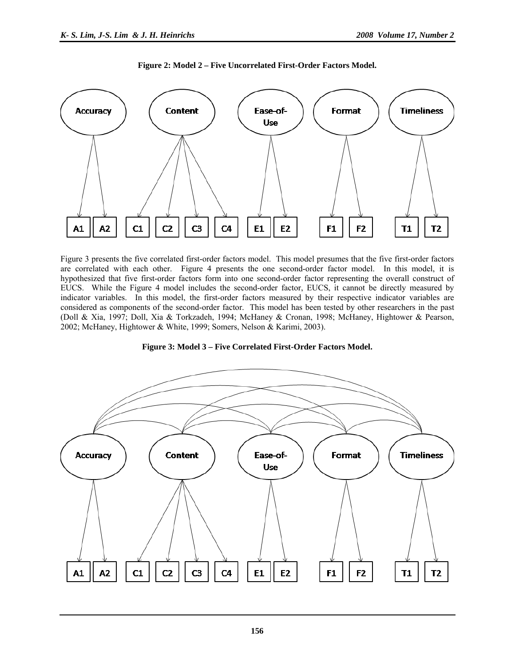

**Figure 2: Model 2 – Five Uncorrelated First-Order Factors Model.** 

Figure 3 presents the five correlated first-order factors model. This model presumes that the five first-order factors are correlated with each other. Figure 4 presents the one second-order factor model. In this model, it is hypothesized that five first-order factors form into one second-order factor representing the overall construct of EUCS. While the Figure 4 model includes the second-order factor, EUCS, it cannot be directly measured by indicator variables. In this model, the first-order factors measured by their respective indicator variables are considered as components of the second-order factor. This model has been tested by other researchers in the past (Doll & Xia, 1997; Doll, Xia & Torkzadeh, 1994; McHaney & Cronan, 1998; McHaney, Hightower & Pearson, 2002; McHaney, Hightower & White, 1999; Somers, Nelson & Karimi, 2003).



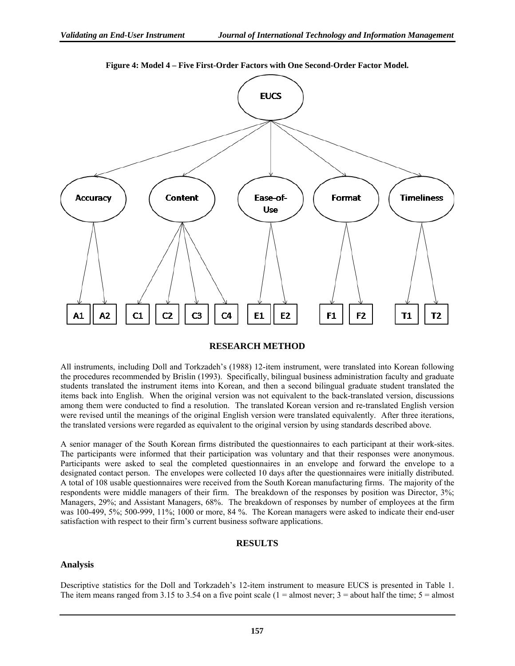

**Figure 4: Model 4 – Five First-Order Factors with One Second-Order Factor Model.**

#### **RESEARCH METHOD**

All instruments, including Doll and Torkzadeh's (1988) 12-item instrument, were translated into Korean following the procedures recommended by Brislin (1993). Specifically, bilingual business administration faculty and graduate students translated the instrument items into Korean, and then a second bilingual graduate student translated the items back into English. When the original version was not equivalent to the back-translated version, discussions among them were conducted to find a resolution. The translated Korean version and re-translated English version were revised until the meanings of the original English version were translated equivalently. After three iterations, the translated versions were regarded as equivalent to the original version by using standards described above.

A senior manager of the South Korean firms distributed the questionnaires to each participant at their work-sites. The participants were informed that their participation was voluntary and that their responses were anonymous. Participants were asked to seal the completed questionnaires in an envelope and forward the envelope to a designated contact person. The envelopes were collected 10 days after the questionnaires were initially distributed. A total of 108 usable questionnaires were received from the South Korean manufacturing firms. The majority of the respondents were middle managers of their firm. The breakdown of the responses by position was Director, 3%; Managers, 29%; and Assistant Managers, 68%. The breakdown of responses by number of employees at the firm was 100-499, 5%; 500-999, 11%; 1000 or more, 84 %. The Korean managers were asked to indicate their end-user satisfaction with respect to their firm's current business software applications.

#### **RESULTS**

#### **Analysis**

Descriptive statistics for the Doll and Torkzadeh's 12-item instrument to measure EUCS is presented in Table 1. The item means ranged from 3.15 to 3.54 on a five point scale (1 = almost never;  $3$  = about half the time;  $5$  = almost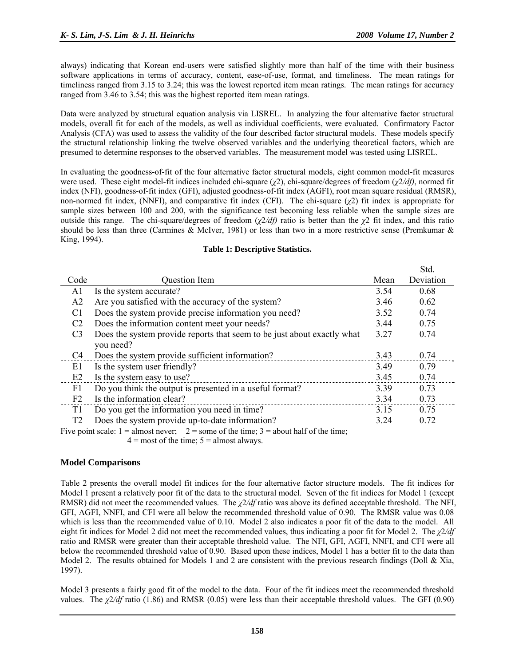always) indicating that Korean end-users were satisfied slightly more than half of the time with their business software applications in terms of accuracy, content, ease-of-use, format, and timeliness. The mean ratings for timeliness ranged from 3.15 to 3.24; this was the lowest reported item mean ratings. The mean ratings for accuracy ranged from 3.46 to 3.54; this was the highest reported item mean ratings.

Data were analyzed by structural equation analysis via LISREL. In analyzing the four alternative factor structural models, overall fit for each of the models, as well as individual coefficients, were evaluated. Confirmatory Factor Analysis (CFA) was used to assess the validity of the four described factor structural models. These models specify the structural relationship linking the twelve observed variables and the underlying theoretical factors, which are presumed to determine responses to the observed variables. The measurement model was tested using LISREL.

In evaluating the goodness-of-fit of the four alternative factor structural models, eight common model-fit measures were used. These eight model-fit indices included chi-square (*χ*2), chi-square/degrees of freedom (*χ*2*/df)*, normed fit index (NFI), goodness-of-fit index (GFI), adjusted goodness-of-fit index (AGFI), root mean square residual (RMSR), non-normed fit index, (NNFI), and comparative fit index (CFI). The chi-square  $(\chi^2)$  fit index is appropriate for sample sizes between 100 and 200, with the significance test becoming less reliable when the sample sizes are outside this range. The chi-square/degrees of freedom (*χ*2*/df*) ratio is better than the *χ*2 fit index, and this ratio should be less than three (Carmines & McIver, 1981) or less than two in a more restrictive sense (Premkumar & King, 1994).

| <b>Table 1: Descriptive Statistics.</b> |  |
|-----------------------------------------|--|
|-----------------------------------------|--|

|                |                                                                         |      | Std.      |
|----------------|-------------------------------------------------------------------------|------|-----------|
| Code           | <b>Question Item</b>                                                    | Mean | Deviation |
| A1             | Is the system accurate?                                                 | 3.54 | 0.68      |
| A2             | Are you satisfied with the accuracy of the system?                      | 3.46 | 0.62      |
| C <sub>1</sub> | Does the system provide precise information you need?                   | 3.52 | 0.74      |
| C2             | Does the information content meet your needs?                           | 3.44 | 0.75      |
| C <sub>3</sub> | Does the system provide reports that seem to be just about exactly what | 3.27 | 0.74      |
|                | you need?                                                               |      |           |
| C <sub>4</sub> | Does the system provide sufficient information?                         | 3.43 | 0.74      |
| E1             | Is the system user friendly?                                            | 3.49 | 0.79      |
| E2             | Is the system easy to use?                                              | 3.45 | 0.74      |
| F1             | Do you think the output is presented in a useful format?                | 3.39 | 0.73      |
| F <sub>2</sub> | Is the information clear?                                               | 3.34 | 0.73      |
| T1             | Do you get the information you need in time?                            | 3.15 | 0.75      |
| T2             | Does the system provide up-to-date information?                         | 3.24 | 0.72      |

Five point scale:  $1 =$  almost never;  $2 =$  some of the time;  $3 =$  about half of the time;

 $4 =$  most of the time;  $5 =$  almost always.

#### **Model Comparisons**

Table 2 presents the overall model fit indices for the four alternative factor structure models. The fit indices for Model 1 present a relatively poor fit of the data to the structural model. Seven of the fit indices for Model 1 (except RMSR) did not meet the recommended values. The *χ*2*/df* ratio was above its defined acceptable threshold. The NFI, GFI, AGFI, NNFI, and CFI were all below the recommended threshold value of 0.90. The RMSR value was 0.08 which is less than the recommended value of 0.10. Model 2 also indicates a poor fit of the data to the model. All eight fit indices for Model 2 did not meet the recommended values, thus indicating a poor fit for Model 2. The *χ*2*/df*  ratio and RMSR were greater than their acceptable threshold value. The NFI, GFI, AGFI, NNFI, and CFI were all below the recommended threshold value of 0.90. Based upon these indices, Model 1 has a better fit to the data than Model 2. The results obtained for Models 1 and 2 are consistent with the previous research findings (Doll  $\&$  Xia, 1997).

Model 3 presents a fairly good fit of the model to the data. Four of the fit indices meet the recommended threshold values. The *χ*2*/df* ratio (1.86) and RMSR (0.05) were less than their acceptable threshold values. The GFI (0.90)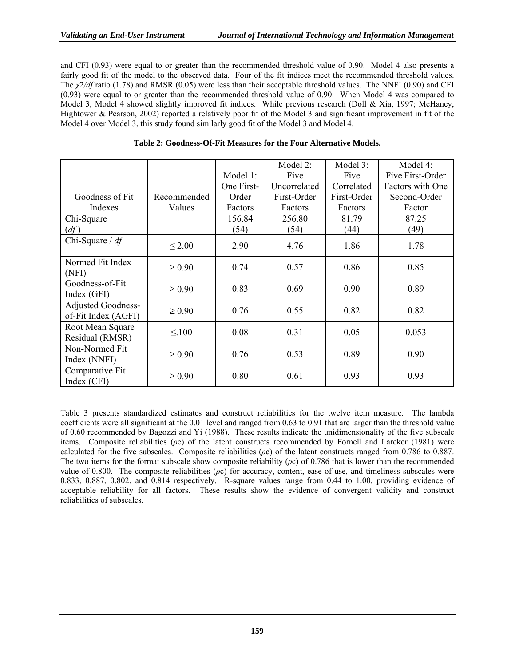and CFI (0.93) were equal to or greater than the recommended threshold value of 0.90. Model 4 also presents a fairly good fit of the model to the observed data. Four of the fit indices meet the recommended threshold values. The *χ*2*/df* ratio (1.78) and RMSR (0.05) were less than their acceptable threshold values. The NNFI (0.90) and CFI (0.93) were equal to or greater than the recommended threshold value of 0.90. When Model 4 was compared to Model 3, Model 4 showed slightly improved fit indices. While previous research (Doll & Xia, 1997; McHaney, Hightower & Pearson, 2002) reported a relatively poor fit of the Model 3 and significant improvement in fit of the Model 4 over Model 3, this study found similarly good fit of the Model 3 and Model 4.

|                                                  |             |            | Model 2:     | Model 3:    | Model 4:         |
|--------------------------------------------------|-------------|------------|--------------|-------------|------------------|
|                                                  |             | Model 1:   | Five         | Five        | Five First-Order |
|                                                  |             | One First- | Uncorrelated | Correlated  | Factors with One |
| Goodness of Fit                                  | Recommended | Order      | First-Order  | First-Order | Second-Order     |
| Indexes                                          | Values      | Factors    | Factors      | Factors     | Factor           |
| Chi-Square                                       |             | 156.84     | 256.80       | 81.79       | 87.25            |
| (df)                                             |             | (54)       | (54)         | (44)        | (49)             |
| Chi-Square $/df$                                 | $\leq 2.00$ | 2.90       | 4.76         | 1.86        | 1.78             |
| Normed Fit Index<br>(NFI)                        | $\geq 0.90$ | 0.74       | 0.57         | 0.86        | 0.85             |
| Goodness-of-Fit<br>Index (GFI)                   | $\geq 0.90$ | 0.83       | 0.69         | 0.90        | 0.89             |
| <b>Adjusted Goodness-</b><br>of-Fit Index (AGFI) | $\geq 0.90$ | 0.76       | 0.55         | 0.82        | 0.82             |
| Root Mean Square<br>Residual (RMSR)              | $\leq 100$  | 0.08       | 0.31         | 0.05        | 0.053            |
| Non-Normed Fit<br>Index (NNFI)                   | $\geq 0.90$ | 0.76       | 0.53         | 0.89        | 0.90             |
| Comparative Fit<br>Index (CFI)                   | $\geq 0.90$ | 0.80       | 0.61         | 0.93        | 0.93             |

|  |  |  | Table 2: Goodness-Of-Fit Measures for the Four Alternative Models. |
|--|--|--|--------------------------------------------------------------------|
|--|--|--|--------------------------------------------------------------------|

Table 3 presents standardized estimates and construct reliabilities for the twelve item measure. The lambda coefficients were all significant at the 0.01 level and ranged from 0.63 to 0.91 that are larger than the threshold value of 0.60 recommended by Bagozzi and Yi (1988). These results indicate the unidimensionality of the five subscale items. Composite reliabilities (*ρ*c) of the latent constructs recommended by Fornell and Larcker (1981) were calculated for the five subscales. Composite reliabilities (*ρ*c) of the latent constructs ranged from 0.786 to 0.887. The two items for the format subscale show composite reliability (*ρ*c) of 0.786 that is lower than the recommended value of 0.800. The composite reliabilities (*ρ*c) for accuracy, content, ease-of-use, and timeliness subscales were 0.833, 0.887, 0.802, and 0.814 respectively. R-square values range from 0.44 to 1.00, providing evidence of acceptable reliability for all factors. These results show the evidence of convergent validity and construct reliabilities of subscales.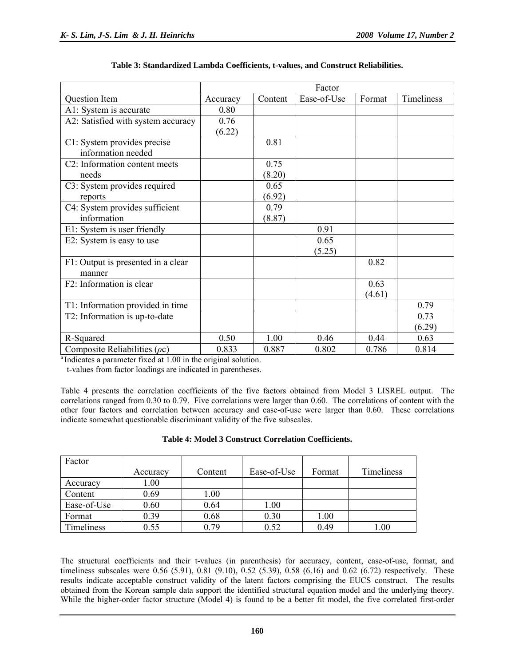|                                    | Factor   |         |             |        |            |
|------------------------------------|----------|---------|-------------|--------|------------|
| Question Item                      | Accuracy | Content | Ease-of-Use | Format | Timeliness |
| A1: System is accurate             | 0.80     |         |             |        |            |
| A2: Satisfied with system accuracy | 0.76     |         |             |        |            |
|                                    | (6.22)   |         |             |        |            |
| C1: System provides precise        |          | 0.81    |             |        |            |
| information needed                 |          |         |             |        |            |
| C2: Information content meets      |          | 0.75    |             |        |            |
| needs                              |          | (8.20)  |             |        |            |
| C3: System provides required       |          | 0.65    |             |        |            |
| reports                            |          | (6.92)  |             |        |            |
| C4: System provides sufficient     |          | 0.79    |             |        |            |
| information                        |          | (8.87)  |             |        |            |
| E1: System is user friendly        |          |         | 0.91        |        |            |
| E2: System is easy to use          |          |         | 0.65        |        |            |
|                                    |          |         | (5.25)      |        |            |
| F1: Output is presented in a clear |          |         |             | 0.82   |            |
| manner                             |          |         |             |        |            |
| F2: Information is clear           |          |         |             | 0.63   |            |
|                                    |          |         |             | (4.61) |            |
| T1: Information provided in time   |          |         |             |        | 0.79       |
| T2: Information is up-to-date      |          |         |             |        | 0.73       |
|                                    |          |         |             |        | (6.29)     |
| R-Squared                          | 0.50     | 1.00    | 0.46        | 0.44   | 0.63       |
| Composite Reliabilities $(\rho c)$ | 0.833    | 0.887   | 0.802       | 0.786  | 0.814      |

<sup>a</sup> Indicates a parameter fixed at 1.00 in the original solution.

t-values from factor loadings are indicated in parentheses.

Table 4 presents the correlation coefficients of the five factors obtained from Model 3 LISREL output. The correlations ranged from 0.30 to 0.79. Five correlations were larger than 0.60. The correlations of content with the other four factors and correlation between accuracy and ease-of-use were larger than 0.60. These correlations indicate somewhat questionable discriminant validity of the five subscales.

| Table 4: Model 3 Construct Correlation Coefficients. |  |
|------------------------------------------------------|--|
|------------------------------------------------------|--|

| Factor      |          |         |             |          |            |
|-------------|----------|---------|-------------|----------|------------|
|             | Accuracy | Content | Ease-of-Use | Format   | Timeliness |
| Accuracy    | 1.00     |         |             |          |            |
| Content     | 0.69     | 1.00    |             |          |            |
| Ease-of-Use | 0.60     | 0.64    | 1.00        |          |            |
| Format      | 0.39     | 0.68    | 0.30        | $1.00\,$ |            |
| Timeliness  | 0.55     | 0.79    | 0.52        | 0.49     | $.00\,$    |

The structural coefficients and their t-values (in parenthesis) for accuracy, content, ease-of-use, format, and timeliness subscales were 0.56 (5.91), 0.81 (9.10), 0.52 (5.39), 0.58 (6.16) and 0.62 (6.72) respectively. These results indicate acceptable construct validity of the latent factors comprising the EUCS construct. The results obtained from the Korean sample data support the identified structural equation model and the underlying theory. While the higher-order factor structure (Model 4) is found to be a better fit model, the five correlated first-order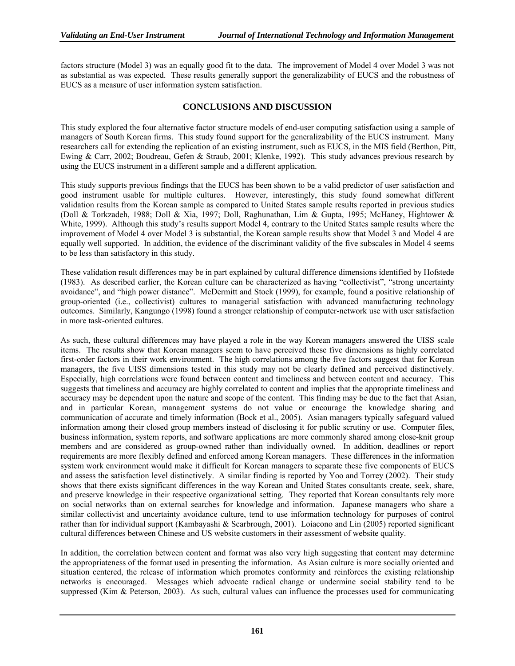factors structure (Model 3) was an equally good fit to the data. The improvement of Model 4 over Model 3 was not as substantial as was expected. These results generally support the generalizability of EUCS and the robustness of EUCS as a measure of user information system satisfaction.

#### **CONCLUSIONS AND DISCUSSION**

This study explored the four alternative factor structure models of end-user computing satisfaction using a sample of managers of South Korean firms. This study found support for the generalizability of the EUCS instrument. Many researchers call for extending the replication of an existing instrument, such as EUCS, in the MIS field (Berthon, Pitt, Ewing & Carr, 2002; Boudreau, Gefen & Straub, 2001; Klenke, 1992). This study advances previous research by using the EUCS instrument in a different sample and a different application.

This study supports previous findings that the EUCS has been shown to be a valid predictor of user satisfaction and good instrument usable for multiple cultures. However, interestingly, this study found somewhat different validation results from the Korean sample as compared to United States sample results reported in previous studies (Doll & Torkzadeh, 1988; Doll & Xia, 1997; Doll, Raghunathan, Lim & Gupta, 1995; McHaney, Hightower & White, 1999). Although this study's results support Model 4, contrary to the United States sample results where the improvement of Model 4 over Model 3 is substantial, the Korean sample results show that Model 3 and Model 4 are equally well supported. In addition, the evidence of the discriminant validity of the five subscales in Model 4 seems to be less than satisfactory in this study.

These validation result differences may be in part explained by cultural difference dimensions identified by Hofstede (1983). As described earlier, the Korean culture can be characterized as having "collectivist", "strong uncertainty avoidance", and "high power distance". McDermitt and Stock (1999), for example, found a positive relationship of group-oriented (i.e., collectivist) cultures to managerial satisfaction with advanced manufacturing technology outcomes. Similarly, Kangungo (1998) found a stronger relationship of computer-network use with user satisfaction in more task-oriented cultures.

As such, these cultural differences may have played a role in the way Korean managers answered the UISS scale items. The results show that Korean managers seem to have perceived these five dimensions as highly correlated first-order factors in their work environment. The high correlations among the five factors suggest that for Korean managers, the five UISS dimensions tested in this study may not be clearly defined and perceived distinctively. Especially, high correlations were found between content and timeliness and between content and accuracy. This suggests that timeliness and accuracy are highly correlated to content and implies that the appropriate timeliness and accuracy may be dependent upon the nature and scope of the content. This finding may be due to the fact that Asian, and in particular Korean, management systems do not value or encourage the knowledge sharing and communication of accurate and timely information (Bock et al., 2005). Asian managers typically safeguard valued information among their closed group members instead of disclosing it for public scrutiny or use. Computer files, business information, system reports, and software applications are more commonly shared among close-knit group members and are considered as group-owned rather than individually owned. In addition, deadlines or report requirements are more flexibly defined and enforced among Korean managers. These differences in the information system work environment would make it difficult for Korean managers to separate these five components of EUCS and assess the satisfaction level distinctively. A similar finding is reported by Yoo and Torrey (2002). Their study shows that there exists significant differences in the way Korean and United States consultants create, seek, share, and preserve knowledge in their respective organizational setting. They reported that Korean consultants rely more on social networks than on external searches for knowledge and information. Japanese managers who share a similar collectivist and uncertainty avoidance culture, tend to use information technology for purposes of control rather than for individual support (Kambayashi & Scarbrough, 2001). Loiacono and Lin (2005) reported significant cultural differences between Chinese and US website customers in their assessment of website quality.

In addition, the correlation between content and format was also very high suggesting that content may determine the appropriateness of the format used in presenting the information. As Asian culture is more socially oriented and situation centered, the release of information which promotes conformity and reinforces the existing relationship networks is encouraged. Messages which advocate radical change or undermine social stability tend to be suppressed (Kim & Peterson, 2003). As such, cultural values can influence the processes used for communicating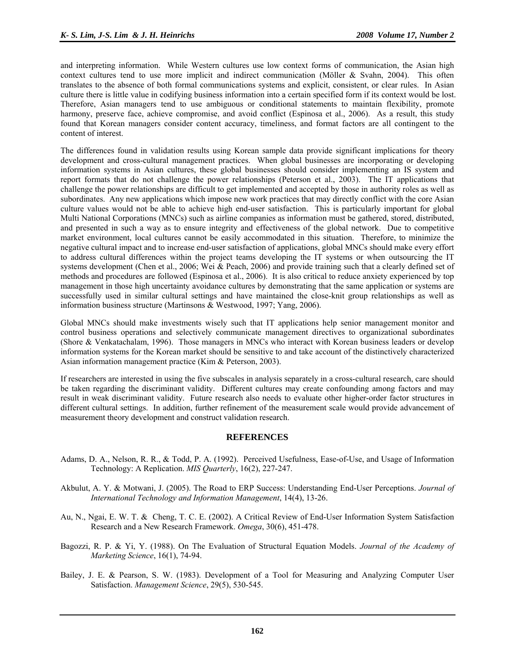and interpreting information. While Western cultures use low context forms of communication, the Asian high context cultures tend to use more implicit and indirect communication (Möller & Svahn, 2004). This often translates to the absence of both formal communications systems and explicit, consistent, or clear rules. In Asian culture there is little value in codifying business information into a certain specified form if its context would be lost. Therefore, Asian managers tend to use ambiguous or conditional statements to maintain flexibility, promote harmony, preserve face, achieve compromise, and avoid conflict (Espinosa et al., 2006). As a result, this study found that Korean managers consider content accuracy, timeliness, and format factors are all contingent to the content of interest.

The differences found in validation results using Korean sample data provide significant implications for theory development and cross-cultural management practices. When global businesses are incorporating or developing information systems in Asian cultures, these global businesses should consider implementing an IS system and report formats that do not challenge the power relationships (Peterson et al., 2003). The IT applications that challenge the power relationships are difficult to get implemented and accepted by those in authority roles as well as subordinates. Any new applications which impose new work practices that may directly conflict with the core Asian culture values would not be able to achieve high end-user satisfaction. This is particularly important for global Multi National Corporations (MNCs) such as airline companies as information must be gathered, stored, distributed, and presented in such a way as to ensure integrity and effectiveness of the global network. Due to competitive market environment, local cultures cannot be easily accommodated in this situation. Therefore, to minimize the negative cultural impact and to increase end-user satisfaction of applications, global MNCs should make every effort to address cultural differences within the project teams developing the IT systems or when outsourcing the IT systems development (Chen et al., 2006; Wei & Peach, 2006) and provide training such that a clearly defined set of methods and procedures are followed (Espinosa et al., 2006). It is also critical to reduce anxiety experienced by top management in those high uncertainty avoidance cultures by demonstrating that the same application or systems are successfully used in similar cultural settings and have maintained the close-knit group relationships as well as information business structure (Martinsons & Westwood, 1997; Yang, 2006).

Global MNCs should make investments wisely such that IT applications help senior management monitor and control business operations and selectively communicate management directives to organizational subordinates (Shore & Venkatachalam, 1996). Those managers in MNCs who interact with Korean business leaders or develop information systems for the Korean market should be sensitive to and take account of the distinctively characterized Asian information management practice (Kim & Peterson, 2003).

If researchers are interested in using the five subscales in analysis separately in a cross-cultural research, care should be taken regarding the discriminant validity. Different cultures may create confounding among factors and may result in weak discriminant validity. Future research also needs to evaluate other higher-order factor structures in different cultural settings. In addition, further refinement of the measurement scale would provide advancement of measurement theory development and construct validation research.

#### **REFERENCES**

- Adams, D. A., Nelson, R. R., & Todd, P. A. (1992). Perceived Usefulness, Ease-of-Use, and Usage of Information Technology: A Replication. *MIS Quarterly*, 16(2), 227-247.
- Akbulut, A. Y. & Motwani, J. (2005). The Road to ERP Success: Understanding End-User Perceptions. *Journal of International Technology and Information Management*, 14(4), 13-26.
- Au, N., Ngai, E. W. T. & Cheng, T. C. E. (2002). A Critical Review of End-User Information System Satisfaction Research and a New Research Framework. *Omega*, 30(6), 451-478.
- Bagozzi, R. P. & Yi, Y. (1988). On The Evaluation of Structural Equation Models. *Journal of the Academy of Marketing Science*, 16(1), 74-94.
- Bailey, J. E. & Pearson, S. W. (1983). Development of a Tool for Measuring and Analyzing Computer User Satisfaction. *Management Science*, 29(5), 530-545.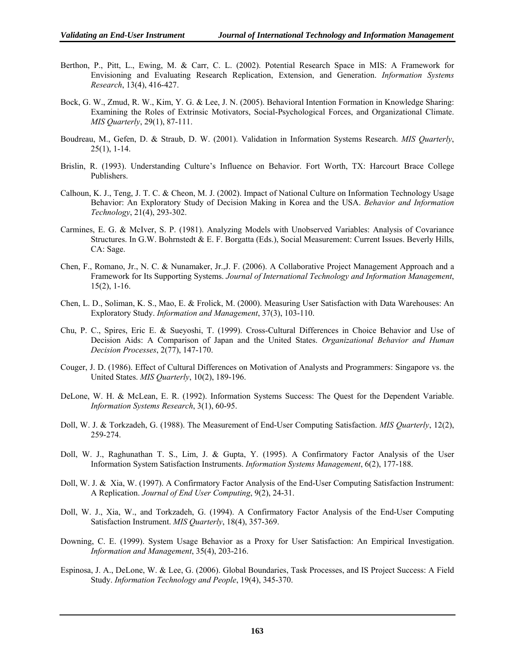- Berthon, P., Pitt, L., Ewing, M. & Carr, C. L. (2002). Potential Research Space in MIS: A Framework for Envisioning and Evaluating Research Replication, Extension, and Generation. *Information Systems Research*, 13(4), 416-427.
- Bock, G. W., Zmud, R. W., Kim, Y. G. & Lee, J. N. (2005). Behavioral Intention Formation in Knowledge Sharing: Examining the Roles of Extrinsic Motivators, Social-Psychological Forces, and Organizational Climate. *MIS Quarterly*, 29(1), 87-111.
- Boudreau, M., Gefen, D. & Straub, D. W. (2001). Validation in Information Systems Research. *MIS Quarterly*, 25(1), 1-14.
- Brislin, R. (1993). Understanding Culture's Influence on Behavior. Fort Worth, TX: Harcourt Brace College Publishers.
- Calhoun, K. J., Teng, J. T. C. & Cheon, M. J. (2002). Impact of National Culture on Information Technology Usage Behavior: An Exploratory Study of Decision Making in Korea and the USA. *Behavior and Information Technology*, 21(4), 293-302.
- Carmines, E. G. & McIver, S. P. (1981). Analyzing Models with Unobserved Variables: Analysis of Covariance Structures. In G.W. Bohrnstedt & E. F. Borgatta (Eds.), Social Measurement: Current Issues. Beverly Hills, CA: Sage.
- Chen, F., Romano, Jr., N. C. & Nunamaker, Jr.,J. F. (2006). A Collaborative Project Management Approach and a Framework for Its Supporting Systems. *Journal of International Technology and Information Management*, 15(2), 1-16.
- Chen, L. D., Soliman, K. S., Mao, E. & Frolick, M. (2000). Measuring User Satisfaction with Data Warehouses: An Exploratory Study. *Information and Management*, 37(3), 103-110.
- Chu, P. C., Spires, Eric E. & Sueyoshi, T. (1999). Cross-Cultural Differences in Choice Behavior and Use of Decision Aids: A Comparison of Japan and the United States. *Organizational Behavior and Human Decision Processes*, 2(77), 147-170.
- Couger, J. D. (1986). Effect of Cultural Differences on Motivation of Analysts and Programmers: Singapore vs. the United States. *MIS Quarterly*, 10(2), 189-196.
- DeLone, W. H. & McLean, E. R. (1992). Information Systems Success: The Quest for the Dependent Variable. *Information Systems Research*, 3(1), 60-95.
- Doll, W. J. & Torkzadeh, G. (1988). The Measurement of End-User Computing Satisfaction. *MIS Quarterly*, 12(2), 259-274.
- Doll, W. J., Raghunathan T. S., Lim, J. & Gupta, Y. (1995). A Confirmatory Factor Analysis of the User Information System Satisfaction Instruments. *Information Systems Management*, 6(2), 177-188.
- Doll, W. J. & Xia, W. (1997). A Confirmatory Factor Analysis of the End-User Computing Satisfaction Instrument: A Replication. *Journal of End User Computing*, 9(2), 24-31.
- Doll, W. J., Xia, W., and Torkzadeh, G. (1994). A Confirmatory Factor Analysis of the End-User Computing Satisfaction Instrument. *MIS Quarterly*, 18(4), 357-369.
- Downing, C. E. (1999). System Usage Behavior as a Proxy for User Satisfaction: An Empirical Investigation. *Information and Management*, 35(4), 203-216.
- Espinosa, J. A., DeLone, W. & Lee, G. (2006). Global Boundaries, Task Processes, and IS Project Success: A Field Study. *Information Technology and People*, 19(4), 345-370.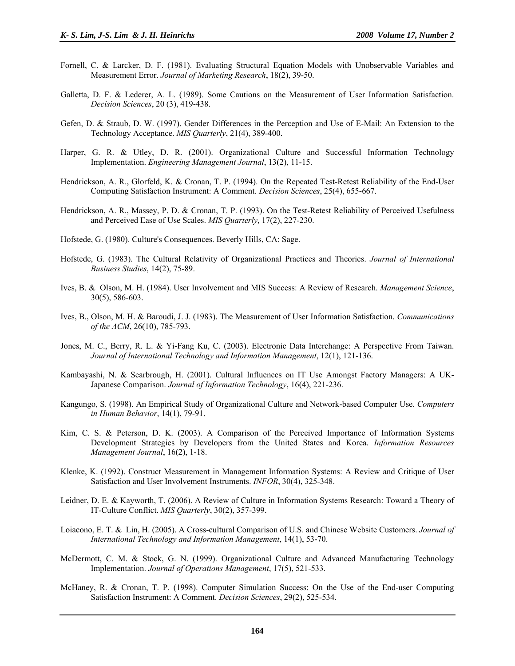- Fornell, C. & Larcker, D. F. (1981). Evaluating Structural Equation Models with Unobservable Variables and Measurement Error. *Journal of Marketing Research*, 18(2), 39-50.
- Galletta, D. F. & Lederer, A. L. (1989). Some Cautions on the Measurement of User Information Satisfaction. *Decision Sciences*, 20 (3), 419-438.
- Gefen, D. & Straub, D. W. (1997). Gender Differences in the Perception and Use of E-Mail: An Extension to the Technology Acceptance. *MIS Quarterly*, 21(4), 389-400.
- Harper, G. R. & Utley, D. R. (2001). Organizational Culture and Successful Information Technology Implementation. *Engineering Management Journal*, 13(2), 11-15.
- Hendrickson, A. R., Glorfeld, K. & Cronan, T. P. (1994). On the Repeated Test-Retest Reliability of the End-User Computing Satisfaction Instrument: A Comment. *Decision Sciences*, 25(4), 655-667.
- Hendrickson, A. R., Massey, P. D. & Cronan, T. P. (1993). On the Test-Retest Reliability of Perceived Usefulness and Perceived Ease of Use Scales. *MIS Quarterly*, 17(2), 227-230.
- Hofstede, G. (1980). Culture's Consequences. Beverly Hills, CA: Sage.
- Hofstede, G. (1983). The Cultural Relativity of Organizational Practices and Theories. *Journal of International Business Studies*, 14(2), 75-89.
- Ives, B. & Olson, M. H. (1984). User Involvement and MIS Success: A Review of Research. *Management Science*, 30(5), 586-603.
- Ives, B., Olson, M. H. & Baroudi, J. J. (1983). The Measurement of User Information Satisfaction. *Communications of the ACM*, 26(10), 785-793.
- Jones, M. C., Berry, R. L. & Yi-Fang Ku, C. (2003). Electronic Data Interchange: A Perspective From Taiwan. *Journal of International Technology and Information Management*, 12(1), 121-136.
- Kambayashi, N. & Scarbrough, H. (2001). Cultural Influences on IT Use Amongst Factory Managers: A UK-Japanese Comparison. *Journal of Information Technology*, 16(4), 221-236.
- Kangungo, S. (1998). An Empirical Study of Organizational Culture and Network-based Computer Use. *Computers in Human Behavior*, 14(1), 79-91.
- Kim, C. S. & Peterson, D. K. (2003). A Comparison of the Perceived Importance of Information Systems Development Strategies by Developers from the United States and Korea. *Information Resources Management Journal*, 16(2), 1-18.
- Klenke, K. (1992). Construct Measurement in Management Information Systems: A Review and Critique of User Satisfaction and User Involvement Instruments. *INFOR*, 30(4), 325-348.
- Leidner, D. E. & Kayworth, T. (2006). A Review of Culture in Information Systems Research: Toward a Theory of IT-Culture Conflict. *MIS Quarterly*, 30(2), 357-399.
- Loiacono, E. T. & Lin, H. (2005). A Cross-cultural Comparison of U.S. and Chinese Website Customers. *Journal of International Technology and Information Management*, 14(1), 53-70.
- McDermott, C. M. & Stock, G. N. (1999). Organizational Culture and Advanced Manufacturing Technology Implementation. *Journal of Operations Management*, 17(5), 521-533.
- McHaney, R. & Cronan, T. P. (1998). Computer Simulation Success: On the Use of the End-user Computing Satisfaction Instrument: A Comment. *Decision Sciences*, 29(2), 525-534.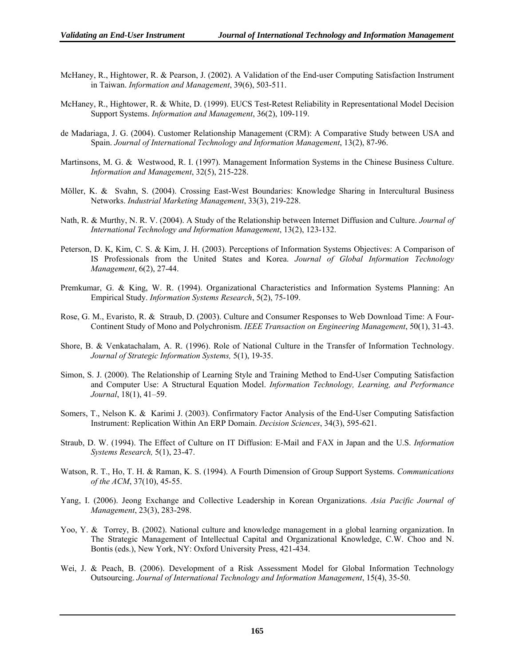- McHaney, R., Hightower, R. & Pearson, J. (2002). A Validation of the End-user Computing Satisfaction Instrument in Taiwan. *Information and Management*, 39(6), 503-511.
- McHaney, R., Hightower, R. & White, D. (1999). EUCS Test-Retest Reliability in Representational Model Decision Support Systems. *Information and Management*, 36(2), 109-119.
- de Madariaga, J. G. (2004). Customer Relationship Management (CRM): A Comparative Study between USA and Spain. *Journal of International Technology and Information Management*, 13(2), 87-96.
- Martinsons, M. G. & Westwood, R. I. (1997). Management Information Systems in the Chinese Business Culture. *Information and Management*, 32(5), 215-228.
- Möller, K. & Svahn, S. (2004). Crossing East-West Boundaries: Knowledge Sharing in Intercultural Business Networks. *Industrial Marketing Management*, 33(3), 219-228.
- Nath, R. & Murthy, N. R. V. (2004). A Study of the Relationship between Internet Diffusion and Culture. *Journal of International Technology and Information Management*, 13(2), 123-132.
- Peterson, D. K, Kim, C. S. & Kim, J. H. (2003). Perceptions of Information Systems Objectives: A Comparison of IS Professionals from the United States and Korea. *Journal of Global Information Technology Management*, 6(2), 27-44.
- Premkumar, G. & King, W. R. (1994). Organizational Characteristics and Information Systems Planning: An Empirical Study. *Information Systems Research*, 5(2), 75-109.
- Rose, G. M., Evaristo, R. & Straub, D. (2003). Culture and Consumer Responses to Web Download Time: A Four-Continent Study of Mono and Polychronism. *IEEE Transaction on Engineering Management*, 50(1), 31-43.
- Shore, B. & Venkatachalam, A. R. (1996). Role of National Culture in the Transfer of Information Technology. *Journal of Strategic Information Systems,* 5(1), 19-35.
- Simon, S. J. (2000). The Relationship of Learning Style and Training Method to End-User Computing Satisfaction and Computer Use: A Structural Equation Model. *Information Technology, Learning, and Performance Journal*, 18(1), 41–59.
- Somers, T., Nelson K. & Karimi J. (2003). Confirmatory Factor Analysis of the End-User Computing Satisfaction Instrument: Replication Within An ERP Domain. *Decision Sciences*, 34(3), 595-621.
- Straub, D. W. (1994). The Effect of Culture on IT Diffusion: E-Mail and FAX in Japan and the U.S. *Information Systems Research,* 5(1), 23-47.
- Watson, R. T., Ho, T. H. & Raman, K. S. (1994). A Fourth Dimension of Group Support Systems. *Communications of the ACM*, 37(10), 45-55.
- Yang, I. (2006). Jeong Exchange and Collective Leadership in Korean Organizations. *Asia Pacific Journal of Management*, 23(3), 283-298.
- Yoo, Y. & Torrey, B. (2002). National culture and knowledge management in a global learning organization. In The Strategic Management of Intellectual Capital and Organizational Knowledge, C.W. Choo and N. Bontis (eds.), New York, NY: Oxford University Press, 421-434.
- Wei, J. & Peach, B. (2006). Development of a Risk Assessment Model for Global Information Technology Outsourcing. *Journal of International Technology and Information Management*, 15(4), 35-50.